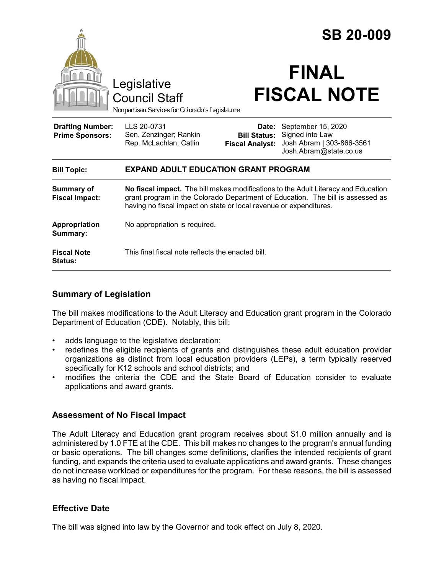|                                                   |                                                                                                                                                                                                                                            |                                                        | <b>SB 20-009</b>                                                                             |
|---------------------------------------------------|--------------------------------------------------------------------------------------------------------------------------------------------------------------------------------------------------------------------------------------------|--------------------------------------------------------|----------------------------------------------------------------------------------------------|
|                                                   | Legislative<br><b>Council Staff</b><br>Nonpartisan Services for Colorado's Legislature                                                                                                                                                     |                                                        | <b>FINAL</b><br><b>FISCAL NOTE</b>                                                           |
| <b>Drafting Number:</b><br><b>Prime Sponsors:</b> | LLS 20-0731<br>Sen. Zenzinger; Rankin<br>Rep. McLachlan; Catlin                                                                                                                                                                            | Date:<br><b>Bill Status:</b><br><b>Fiscal Analyst:</b> | September 15, 2020<br>Signed into Law<br>Josh Abram   303-866-3561<br>Josh.Abram@state.co.us |
| <b>Bill Topic:</b>                                | <b>EXPAND ADULT EDUCATION GRANT PROGRAM</b>                                                                                                                                                                                                |                                                        |                                                                                              |
| <b>Summary of</b><br><b>Fiscal Impact:</b>        | No fiscal impact. The bill makes modifications to the Adult Literacy and Education<br>grant program in the Colorado Department of Education. The bill is assessed as<br>having no fiscal impact on state or local revenue or expenditures. |                                                        |                                                                                              |
| Appropriation<br>Summary:                         | No appropriation is required.                                                                                                                                                                                                              |                                                        |                                                                                              |
| <b>Fiscal Note</b><br>Status:                     | This final fiscal note reflects the enacted bill.                                                                                                                                                                                          |                                                        |                                                                                              |

## **Summary of Legislation**

The bill makes modifications to the Adult Literacy and Education grant program in the Colorado Department of Education (CDE). Notably, this bill:

- adds language to the legislative declaration;
- redefines the eligible recipients of grants and distinguishes these adult education provider organizations as distinct from local education providers (LEPs), a term typically reserved specifically for K12 schools and school districts; and
- modifies the criteria the CDE and the State Board of Education consider to evaluate applications and award grants.

## **Assessment of No Fiscal Impact**

The Adult Literacy and Education grant program receives about \$1.0 million annually and is administered by 1.0 FTE at the CDE. This bill makes no changes to the program's annual funding or basic operations. The bill changes some definitions, clarifies the intended recipients of grant funding, and expands the criteria used to evaluate applications and award grants. These changes do not increase workload or expenditures for the program. For these reasons, the bill is assessed as having no fiscal impact.

## **Effective Date**

The bill was signed into law by the Governor and took effect on July 8, 2020.